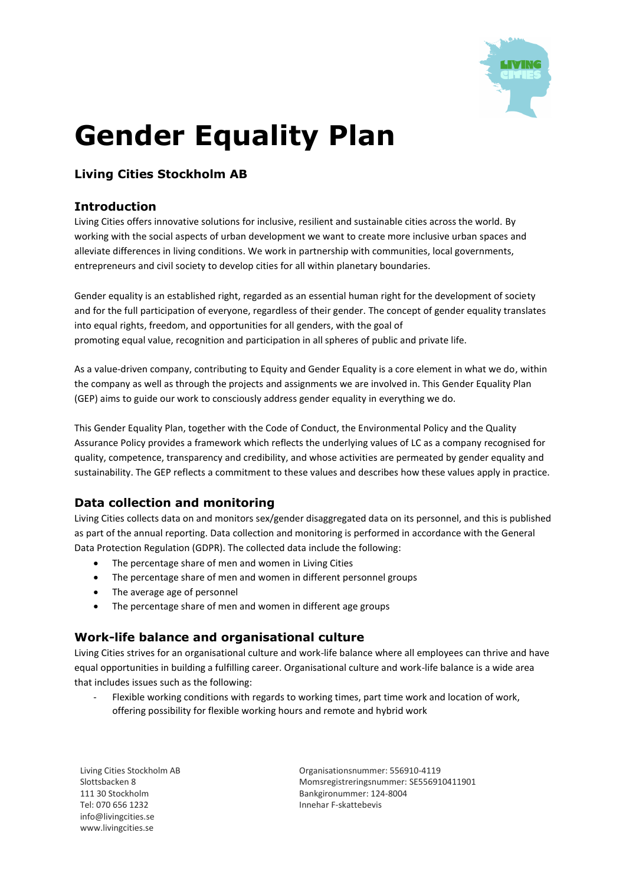

# **Gender Equality Plan**

## **Living Cities Stockholm AB**

#### **Introduction**

Living Cities offers innovative solutions for inclusive, resilient and sustainable cities across the world. By working with the social aspects of urban development we want to create more inclusive urban spaces and alleviate differences in living conditions. We work in partnership with communities, local governments, entrepreneurs and civil society to develop cities for all within planetary boundaries.

Gender equality is an established right, regarded as an essential human right for the development of society and for the full participation of everyone, regardless of their gender. The concept of gender equality translates into equal rights, freedom, and opportunities for all genders, with the goal of promoting equal value, recognition and participation in all spheres of public and private life.

As a value-driven company, contributing to Equity and Gender Equality is a core element in what we do, within the company as well as through the projects and assignments we are involved in. This Gender Equality Plan (GEP) aims to guide our work to consciously address gender equality in everything we do.

This Gender Equality Plan, together with the Code of Conduct, the Environmental Policy and the Quality Assurance Policy provides a framework which reflects the underlying values of LC as a company recognised for quality, competence, transparency and credibility, and whose activities are permeated by gender equality and sustainability. The GEP reflects a commitment to these values and describes how these values apply in practice.

## **Data collection and monitoring**

Living Cities collects data on and monitors sex/gender disaggregated data on its personnel, and this is published as part of the annual reporting. Data collection and monitoring is performed in accordance with the General Data Protection Regulation (GDPR). The collected data include the following:

- The percentage share of men and women in Living Cities
- The percentage share of men and women in different personnel groups
- The average age of personnel
- The percentage share of men and women in different age groups

## **Work-life balance and organisational culture**

Living Cities strives for an organisational culture and work-life balance where all employees can thrive and have equal opportunities in building a fulfilling career. Organisational culture and work-life balance is a wide area that includes issues such as the following:

Flexible working conditions with regards to working times, part time work and location of work, offering possibility for flexible working hours and remote and hybrid work

Living Cities Stockholm AB Slottsbacken 8 111 30 Stockholm Tel: 070 656 1232 info@livingcities.se www.livingcities.se

Organisationsnummer: 556910-4119 Momsregistreringsnummer: SE556910411901 Bankgironummer: 124-8004 Innehar F-skattebevis